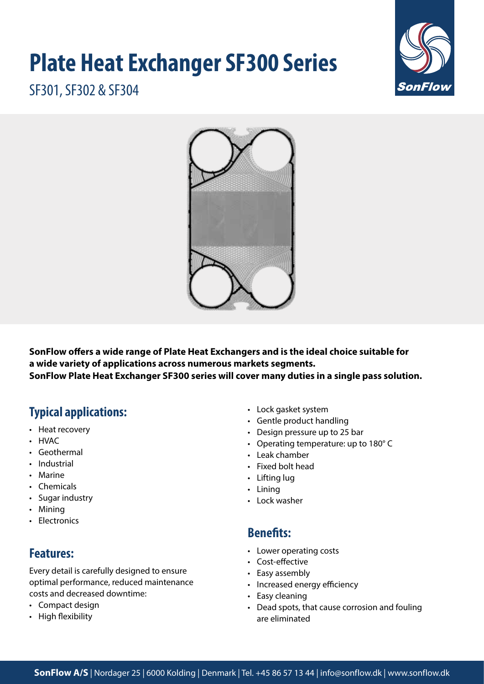# **Plate Heat Exchanger SF300 Series**



SF301, SF302 & SF304



**SonFlow offers a wide range of Plate Heat Exchangers and is the ideal choice suitable for a wide variety of applications across numerous markets segments. SonFlow Plate Heat Exchanger SF300 series will cover many duties in a single pass solution.** 

# **Typical applications:**

- Heat recovery
- HVAC
- Geothermal
- Industrial
- Marine
- Chemicals
- Sugar industry
- Mining
- Electronics

## **Features:**

Every detail is carefully designed to ensure optimal performance, reduced maintenance costs and decreased downtime:

- Compact design
- High flexibility
- Lock gasket system
- Gentle product handling
- Design pressure up to 25 bar
- Operating temperature: up to 180° C
- Leak chamber
- Fixed bolt head
- Lifting lug
- Lining
- Lock washer

## **Benefits:**

- Lower operating costs
- Cost-effective
- Easy assembly
- Increased energy efficiency
- Easy cleaning
- Dead spots, that cause corrosion and fouling are eliminated